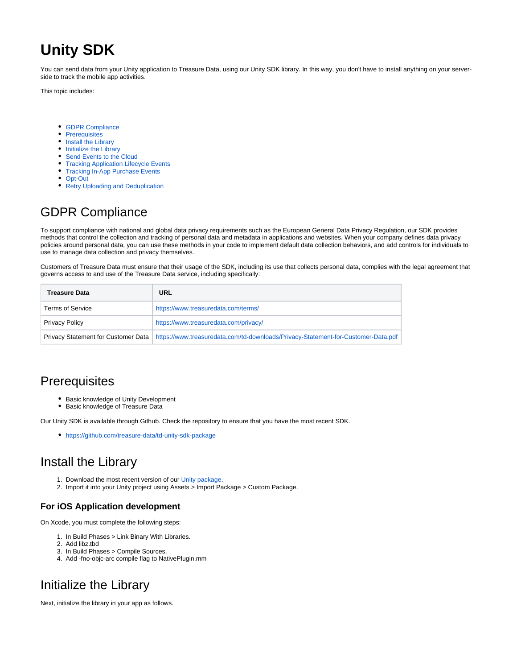# **Unity SDK**

You can send data from your Unity application to Treasure Data, using our Unity SDK library. In this way, you don't have to install anything on your serverside to track the mobile app activities.

This topic includes:

- [GDPR Compliance](#page-0-0)
- [Prerequisites](#page-0-1)
- [Install the Library](#page-0-2)
- [Initialize the Library](#page-0-3)
- [Send Events to the Cloud](#page-1-0)
- **[Tracking Application Lifecycle Events](#page-1-1)**
- [Tracking In-App Purchase Events](#page-2-0)
- [Opt-Out](#page-3-0)
- [Retry Uploading and Deduplication](#page-3-1)

## <span id="page-0-0"></span>GDPR Compliance

To support compliance with national and global data privacy requirements such as the European General Data Privacy Regulation, our SDK provides methods that control the collection and tracking of personal data and metadata in applications and websites. When your company defines data privacy policies around personal data, you can use these methods in your code to implement default data collection behaviors, and add controls for individuals to use to manage data collection and privacy themselves.

Customers of Treasure Data must ensure that their usage of the SDK, including its use that collects personal data, complies with the legal agreement that governs access to and use of the Treasure Data service, including specifically:

| <b>Treasure Data</b>    | URL                                                                                                                     |
|-------------------------|-------------------------------------------------------------------------------------------------------------------------|
| <b>Terms of Service</b> | https://www.treasuredata.com/terms/                                                                                     |
| <b>Privacy Policy</b>   | https://www.treasuredata.com/privacy/                                                                                   |
|                         | Privacy Statement for Customer Data   https://www.treasuredata.com/td-downloads/Privacy-Statement-for-Customer-Data.pdf |

#### <span id="page-0-1"></span>**Prerequisites**

- Basic knowledge of Unity Development
- Basic knowledge of Treasure Data

Our Unity SDK is available through Github. Check the repository to ensure that you have the most recent SDK.

<https://github.com/treasure-data/td-unity-sdk-package>

#### <span id="page-0-2"></span>Install the Library

- 1. Download the most recent version of our [Unity package](https://github.com/treasure-data/td-unity-sdk-package).
- 2. Import it into your Unity project using Assets > Import Package > Custom Package.

#### **For iOS Application development**

On Xcode, you must complete the following steps:

- 1. In Build Phases > Link Binary With Libraries.
- 2. Add libz.tbd
- 3. In Build Phases > Compile Sources.
- 4. Add -fno-objc-arc compile flag to NativePlugin.mm

## <span id="page-0-3"></span>Initialize the Library

Next, initialize the library in your app as follows.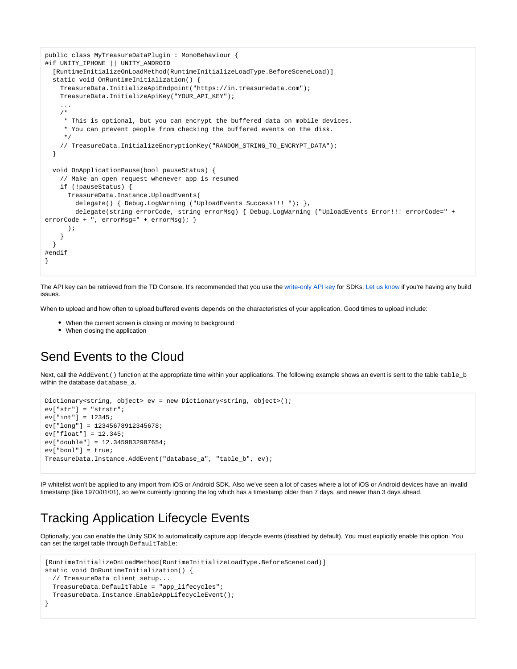```
public class MyTreasureDataPlugin : MonoBehaviour {
#if UNITY_IPHONE || UNITY_ANDROID
  [RuntimeInitializeOnLoadMethod(RuntimeInitializeLoadType.BeforeSceneLoad)]
  static void OnRuntimeInitialization() {
    TreasureData.InitializeApiEndpoint("https://in.treasuredata.com");
    TreasureData.InitializeApiKey("YOUR_API_KEY");
     ...
    /*
      * This is optional, but you can encrypt the buffered data on mobile devices.
      * You can prevent people from checking the buffered events on the disk.
      */
    // TreasureData.InitializeEncryptionKey("RANDOM_STRING_TO_ENCRYPT_DATA");
  }
  void OnApplicationPause(bool pauseStatus) {
    // Make an open request whenever app is resumed
    if (!pauseStatus) {
      TreasureData.Instance.UploadEvents(
       delegate() { Debug.LogWarning ("UploadEvents Success!!! "); },
        delegate(string errorCode, string errorMsg) { Debug.LogWarning ("UploadEvents Error!!! errorCode=" + 
errorCode + ", errorMsg=" + errorMsg); }
      );
 }
  }
#endif
}
```
The API key can be retrieved from the TD Console. It's recommended that you use the [write-only API key](http://docs.treasuredata.com/display/PD/About+Access+Control) for SDKs. Let us know if you're having any build issues.

When to upload and how often to upload buffered events depends on the characteristics of your application. Good times to upload include:

- When the current screen is closing or moving to background
- When closing the application

#### <span id="page-1-0"></span>Send Events to the Cloud

Next, call the AddEvent () function at the appropriate time within your applications. The following example shows an event is sent to the table table b within the database database\_a.

```
Dictionary<string, object> ev = new Dictionary<string, object>();
ev["str"] = "strstr";
ev["int"] = 12345;
ev["long"] = 12345678912345678;
ev["float"] = 12.345;
ev["double"] = 12.3459832987654;
ev["bool"] = true;
TreasureData.Instance.AddEvent("database_a", "table_b", ev);
```
IP whitelist won't be applied to any import from iOS or Android SDK. Also we've seen a lot of cases where a lot of iOS or Android devices have an invalid timestamp (like 1970/01/01), so we're currently ignoring the log which has a timestamp older than 7 days, and newer than 3 days ahead.

#### <span id="page-1-1"></span>Tracking Application Lifecycle Events

Optionally, you can enable the Unity SDK to automatically capture app lifecycle events (disabled by default). You must explicitly enable this option. You can set the target table through DefaultTable:

```
[RuntimeInitializeOnLoadMethod(RuntimeInitializeLoadType.BeforeSceneLoad)]
static void OnRuntimeInitialization() {
  // TreasureData client setup...
  TreasureData.DefaultTable = "app_lifecycles";
  TreasureData.Instance.EnableAppLifecycleEvent();
}
```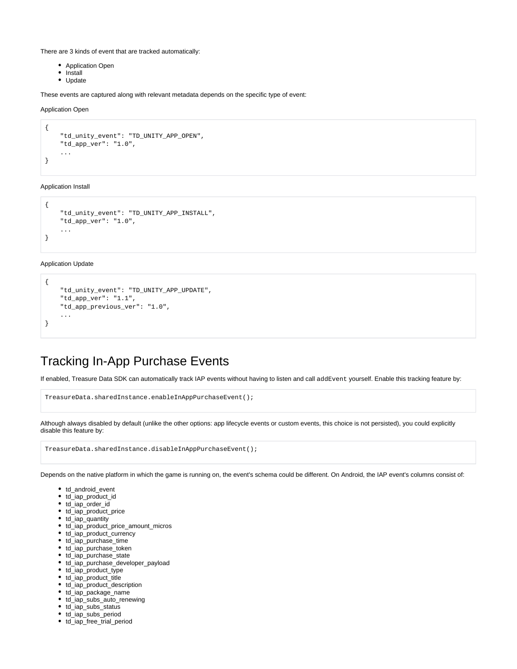There are 3 kinds of event that are tracked automatically:

- Application Open
- Install
- Update

These events are captured along with relevant metadata depends on the specific type of event:

Application Open

```
{
     "td_unity_event": "TD_UNITY_APP_OPEN",
     "td_app_ver": "1.0",
     ...
}
```
#### Application Install

```
{
     "td_unity_event": "TD_UNITY_APP_INSTALL",
     "td_app_ver": "1.0",
     ...
}
```
#### Application Update

{

}

```
"td_unity_event": "TD_UNITY_APP_UPDATE",
 "td_app_ver": "1.1",
 "td_app_previous_ver": "1.0",
 ...
```
#### <span id="page-2-0"></span>Tracking In-App Purchase Events

If enabled, Treasure Data SDK can automatically track IAP events without having to listen and call addEvent yourself. Enable this tracking feature by:

TreasureData.sharedInstance.enableInAppPurchaseEvent();

Although always disabled by default (unlike the other options: app lifecycle events or custom events, this choice is not persisted), you could explicitly disable this feature by:

|  | TreasureData.sharedInstance.disableInAppPurchaseEvent(); |
|--|----------------------------------------------------------|
|--|----------------------------------------------------------|

Depends on the native platform in which the game is running on, the event's schema could be different. On Android, the IAP event's columns consist of:

- td\_android\_event
- td\_iap\_product\_id
- td\_iap\_order\_id
- td\_iap\_product\_price
- td\_iap\_quantity
- td\_iap\_product\_price\_amount\_micros
- td\_iap\_product\_currency
- td\_iap\_purchase\_time
- td\_iap\_purchase\_token
- td\_iap\_purchase\_state
- td\_iap\_purchase\_developer\_payload
- td\_iap\_product\_type
- td\_iap\_product\_title
- td\_iap\_product\_description
- td\_iap\_package\_name
- td\_iap\_subs\_auto\_renewing
- td\_iap\_subs\_status
- td\_iap\_subs\_period
- td\_iap\_free\_trial\_period